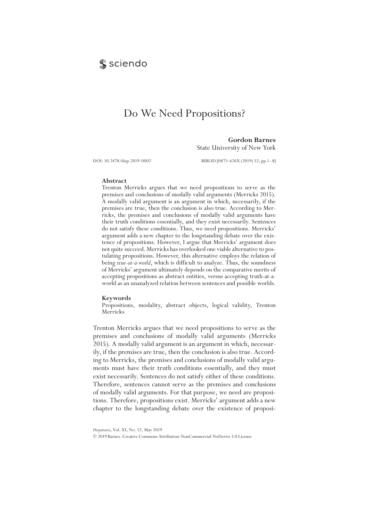# **S** sciendo

# Do We Need Propositions?

**Gordon Barnes** State University of New York

DOI: 10.2478/disp-2019-0002 BIBLID [0873-626X (2019) 52; pp.1-8]

#### **Abstract**

Trenton Merricks argues that we need propositions to serve as the premises and conclusions of modally valid arguments (Merricks 2015). A modally valid argument is an argument in which, necessarily, if the premises are true, then the conclusion is also true. According to Merricks, the premises and conclusions of modally valid arguments have their truth conditions essentially, and they exist necessarily. Sentences do not satisfy these conditions. Thus, we need propositions. Merricks' argument adds a new chapter to the longstanding debate over the existence of propositions. However, I argue that Merricks' argument does not quite succeed. Merricks has overlooked one viable alternative to postulating propositions. However, this alternative employs the relation of being *true-at-a-world*, which is difficult to analyze. Thus, the soundness of Merricks' argument ultimately depends on the comparative merits of accepting propositions as abstract entities, versus accepting truth-at-aworld as an unanalyzed relation between sentences and possible worlds.

#### **Keywords**

Propositions, modality, abstract objects, logical validity, Trenton Merricks

Trenton Merricks argues that we need propositions to serve as the premises and conclusions of modally valid arguments (Merricks 2015). A modally valid argument is an argument in which, necessarily, if the premises are true, then the conclusion is also true. According to Merricks, the premises and conclusions of modally valid arguments must have their truth conditions essentially, and they must exist necessarily. Sentences do not satisfy either of these conditions. Therefore, sentences cannot serve as the premises and conclusions of modally valid arguments. For that purpose, we need are propositions. Therefore, propositions exist. Merricks' argument adds a new chapter to the longstanding debate over the existence of proposi-

*Disputatio*, Vol. XI, No. 52, May 2019

<sup>© 2019</sup> Barnes. Creative Commons Attribution-NonCommercial-NoDerivs 3.0 License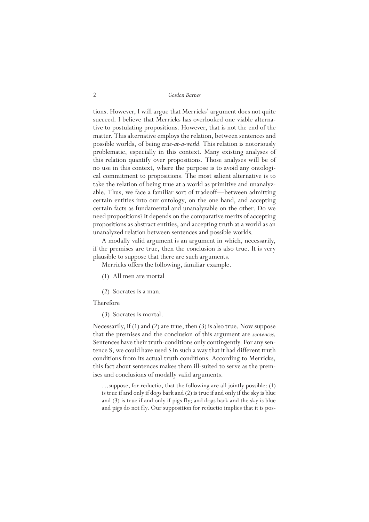tions. However, I will argue that Merricks' argument does not quite succeed. I believe that Merricks has overlooked one viable alternative to postulating propositions. However, that is not the end of the matter. This alternative employs the relation, between sentences and possible worlds, of being *true-at-a-world*. This relation is notoriously problematic, especially in this context. Many existing analyses of this relation quantify over propositions. Those analyses will be of no use in this context, where the purpose is to avoid any ontological commitment to propositions. The most salient alternative is to take the relation of being true at a world as primitive and unanalyzable. Thus, we face a familiar sort of tradeoff—between admitting certain entities into our ontology, on the one hand, and accepting certain facts as fundamental and unanalyzable on the other. Do we need propositions? It depends on the comparative merits of accepting propositions as abstract entities, and accepting truth at a world as an unanalyzed relation between sentences and possible worlds.

A modally valid argument is an argument in which, necessarily, if the premises are true, then the conclusion is also true. It is very plausible to suppose that there are such arguments.

Merricks offers the following, familiar example.

- (1) All men are mortal
- (2) Socrates is a man.

Therefore

(3) Socrates is mortal.

Necessarily, if (1) and (2) are true, then (3) is also true. Now suppose that the premises and the conclusion of this argument are *sentences*. Sentences have their truth-conditions only contingently. For any sentence S, we could have used S in such a way that it had different truth conditions from its actual truth conditions. According to Merricks, this fact about sentences makes them ill-suited to serve as the premises and conclusions of modally valid arguments.

…suppose, for reductio, that the following are all jointly possible: (1) is true if and only if dogs bark and (2) is true if and only if the sky is blue and (3) is true if and only if pigs fly; and dogs bark and the sky is blue and pigs do not fly. Our supposition for reductio implies that it is pos-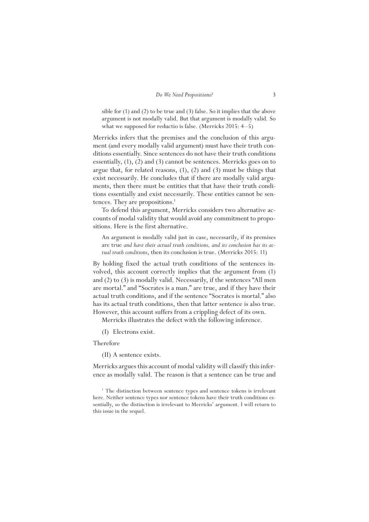sible for (1) and (2) to be true and (3) false. So it implies that the above argument is not modally valid. But that argument is modally valid. So what we supposed for reductio is false. (Merricks 2015: 4–5)

Merricks infers that the premises and the conclusion of this argument (and every modally valid argument) must have their truth conditions essentially. Since sentences do not have their truth conditions essentially, (1), (2) and (3) cannot be sentences. Merricks goes on to argue that, for related reasons, (1), (2) and (3) must be things that exist necessarily. He concludes that if there are modally valid arguments, then there must be entities that that have their truth conditions essentially and exist necessarily. These entities cannot be sentences. They are propositions.<sup>1</sup>

To defend this argument, Merricks considers two alternative accounts of modal validity that would avoid any commitment to propositions. Here is the first alternative.

An argument is modally valid just in case, necessarily, if its premises are true *and have their actual truth conditions, and its conclusion has its actual truth conditions*, then its conclusion is true. (Merricks 2015: 11)

By holding fixed the actual truth conditions of the sentences involved, this account correctly implies that the argument from (1) and (2) to (3) is modally valid. Necessarily, if the sentences "All men are mortal." and "Socrates is a man." are true, and if they have their actual truth conditions, and if the sentence "Socrates is mortal." also has its actual truth conditions, then that latter sentence is also true. However, this account suffers from a crippling defect of its own.

Merricks illustrates the defect with the following inference.

(I) Electrons exist.

Therefore

(II) A sentence exists.

Merricks argues this account of modal validity will classify this inference as modally valid. The reason is that a sentence can be true and

<sup>1</sup> The distinction between sentence types and sentence tokens is irrelevant here. Neither sentence types nor sentence tokens have their truth conditions essentially, so the distinction is irrelevant to Merricks' argument. I will return to this issue in the sequel.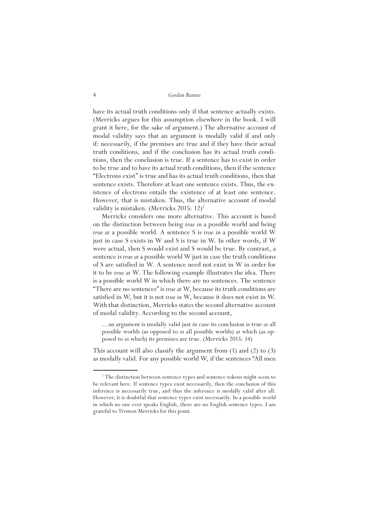have its actual truth conditions only if that sentence actually exists. (Merricks argues for this assumption elsewhere in the book. I will grant it here, for the sake of argument.) The alternative account of modal validity says that an argument is modally valid if and only if: necessarily, if the premises are true and if they have their actual truth conditions, and if the conclusion has its actual truth conditions, then the conclusion is true. If a sentence has to exist in order to be true and to have its actual truth conditions, then if the sentence "Electrons exist" is true and has its actual truth conditions, then that sentence exists. Therefore at least one sentence exists. Thus, the existence of electrons entails the existence of at least one sentence. However, that is mistaken. Thus, the alternative account of modal validity is mistaken. (Merricks 2015:  $12)^2$ 

Merricks considers one more alternative. This account is based on the distinction between being *true in* a possible world and being *true at* a possible world. A sentence S is *true in* a possible world W just in case S exists in W and S is true in W. In other words, if W were actual, then S would exist and S would be true. By contrast, a sentence is *true at* a possible world W just in case the truth conditions of S are satisfied in W. A sentence need not exist in W in order for it to be *true at* W. The following example illustrates the idea. There is a possible world W in which there are no sentences. The sentence "There are no sentences" is *trueat* W, because its truth conditions are satisfied in W, but it is not *true in* W, because it does not exist in W. With that distinction, Merricks states the second alternative account of modal validity. According to the second account,

…an argument is modally valid just in case its conclusion is true *at* all possible worlds (as opposed to *in* all possible worlds) *at* which (as opposed to *in* which) its premises are true. (Merricks 2015: 14)

This account will also classify the argument from (1) and (2) to (3) as modally valid. For any possible world W, if the sentences "All men

<sup>&</sup>lt;sup>2</sup> The distinction between sentence types and sentence tokens might seem to be relevant here. If sentence types exist necessarily, then the conclusion of this inference is necessarily true, and thus the inference is modally valid after all. However, it is doubtful that sentence types exist necessarily. In a possible world in which no one ever speaks English, there are no English sentence types. I am grateful to Trenton Merricks for this point.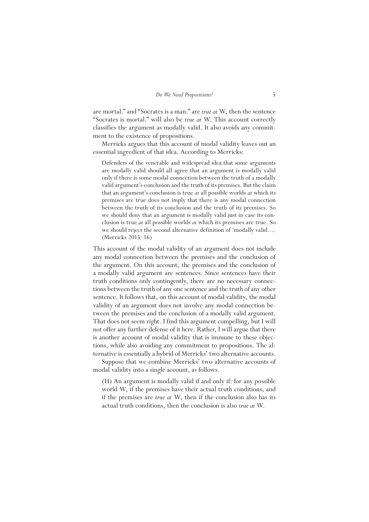are mortal." and "Socrates is a man." are *true at* W, then the sentence "Socrates is mortal." will also be *true at* W. This account correctly classifies the argument as modally valid. It also avoids any commitment to the existence of propositions.

Merricks argues that this account of modal validity leaves out an essential ingredient of that idea. According to Merricks:

Defenders of the venerable and widespread idea that some arguments are modally valid should all agree that an argument is modally valid only if there is some modal connection between the truth of a modally valid argument's conclusion and the truth of its premises. But the claim that an argument's conclusion is true *at* all possible worlds *at* which its premises are true does not imply that there is any modal connection between the truth of its conclusion and the truth of its premises. So we should deny that an argument is modally valid just in case its conclusion is true *at* all possible worlds *at* which its premises are true. So we should reject the second alternative definition of 'modally valid…. (Merricks 2015: 16)

This account of the modal validity of an argument does not include any modal connection between the premises and the conclusion of the argument. On this account, the premises and the conclusion of a modally valid argument are sentences. Since sentences have their truth conditions only contingently, there are no necessary connections between the truth of any one sentence and the truth of any other sentence. It follows that, on this account of modal validity, the modal validity of an argument does not involve any modal connection between the premises and the conclusion of a modally valid argument. That does not seem right. I find this argument compelling, but I will not offer any further defense of it here. Rather, I will argue that there is another account of modal validity that is immune to these objections, while also avoiding any commitment to propositions. The alternative is essentially a hybrid of Merricks' two alternative accounts.

Suppose that we combine Merricks' two alternative accounts of modal validity into a single account, as follows.

(H) An argument is modally valid if and only if: for any possible world W, if the premises have their actual truth conditions, and if the premises are *true at* W, then if the conclusion also has its actual truth conditions, then the conclusion is also *true at* W.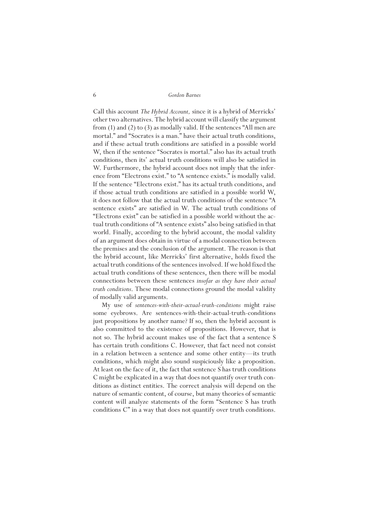Call this account *The Hybrid Account,* since it is a hybrid of Merricks' other two alternatives. The hybrid account will classify the argument from (1) and (2) to (3) as modally valid. If the sentences "All men are mortal." and "Socrates is a man." have their actual truth conditions, and if these actual truth conditions are satisfied in a possible world W, then if the sentence "Socrates is mortal." also has its actual truth conditions, then its' actual truth conditions will also be satisfied in W. Furthermore, the hybrid account does not imply that the inference from "Electrons exist." to "A sentence exists." is modally valid. If the sentence "Electrons exist." has its actual truth conditions, and if those actual truth conditions are satisfied in a possible world W, it does not follow that the actual truth conditions of the sentence "A sentence exists" are satisfied in W. The actual truth conditions of "Electrons exist" can be satisfied in a possible world without the actual truth conditions of "A sentence exists" also being satisfied in that world. Finally, according to the hybrid account, the modal validity of an argument does obtain in virtue of a modal connection between the premises and the conclusion of the argument. The reason is that the hybrid account, like Merricks' first alternative, holds fixed the actual truth conditions of the sentences involved. If we hold fixed the actual truth conditions of these sentences, then there will be modal connections between these sentences *insofar as they have their actual truth conditions*. These modal connections ground the modal validity of modally valid arguments.

My use of *sentences-with-their-actual-truth-conditions* might raise some eyebrows. Are sentences-with-their-actual-truth-conditions just propositions by another name? If so, then the hybrid account is also committed to the existence of propositions. However, that is not so. The hybrid account makes use of the fact that a sentence S has certain truth conditions C. However, that fact need not consist in a relation between a sentence and some other entity—its truth conditions, which might also sound suspiciously like a proposition. At least on the face of it, the fact that sentence S has truth conditions C might be explicated in a way that does not quantify over truth conditions as distinct entities. The correct analysis will depend on the nature of semantic content, of course, but many theories of semantic content will analyze statements of the form "Sentence S has truth conditions C" in a way that does not quantify over truth conditions.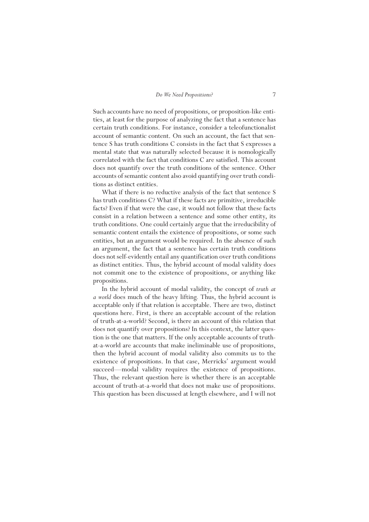Such accounts have no need of propositions, or proposition-like entities, at least for the purpose of analyzing the fact that a sentence has certain truth conditions. For instance, consider a teleofunctionalist account of semantic content. On such an account, the fact that sentence S has truth conditions C consists in the fact that S expresses a mental state that was naturally selected because it is nomologically correlated with the fact that conditions C are satisfied. This account does not quantify over the truth conditions of the sentence. Other accounts of semantic content also avoid quantifying over truth conditions as distinct entities.

What if there is no reductive analysis of the fact that sentence S has truth conditions C? What if these facts are primitive, irreducible facts? Even if that were the case, it would not follow that these facts consist in a relation between a sentence and some other entity, its truth conditions. One could certainly argue that the irreducibility of semantic content entails the existence of propositions, or some such entities, but an argument would be required. In the absence of such an argument, the fact that a sentence has certain truth conditions does not self-evidently entail any quantification over truth conditions as distinct entities. Thus, the hybrid account of modal validity does not commit one to the existence of propositions, or anything like propositions.

In the hybrid account of modal validity, the concept of *truth at a world* does much of the heavy lifting*.* Thus, the hybrid account is acceptable only if that relation is acceptable. There are two, distinct questions here. First, is there an acceptable account of the relation of truth-at-a-world? Second, is there an account of this relation that does not quantify over propositions? In this context, the latter question is the one that matters. If the only acceptable accounts of truthat-a-world are accounts that make ineliminable use of propositions, then the hybrid account of modal validity also commits us to the existence of propositions. In that case, Merricks' argument would succeed—modal validity requires the existence of propositions. Thus, the relevant question here is whether there is an acceptable account of truth-at-a-world that does not make use of propositions. This question has been discussed at length elsewhere, and I will not